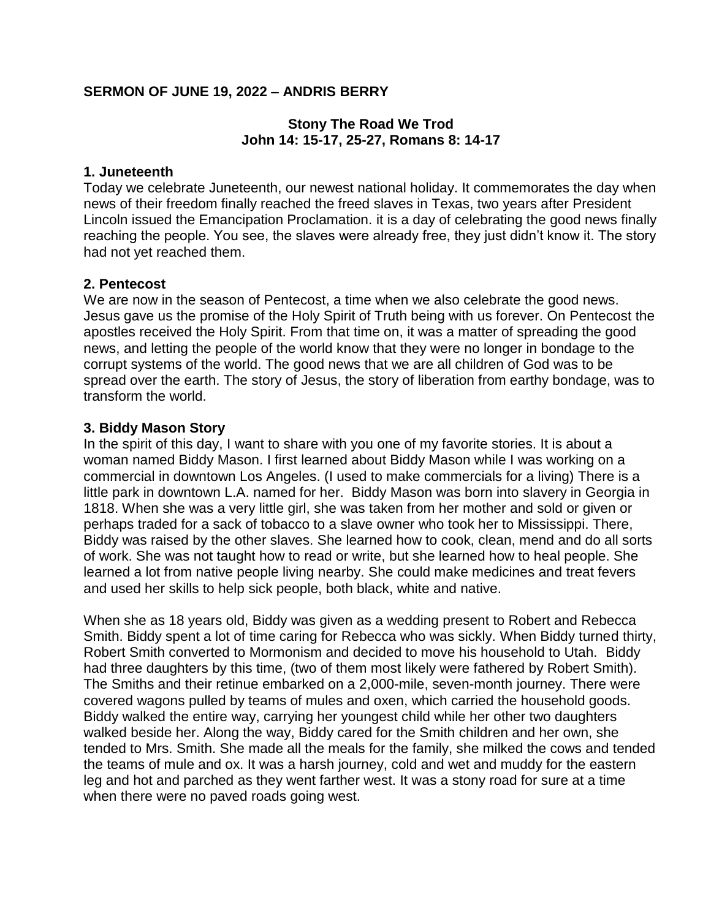### **SERMON OF JUNE 19, 2022 – ANDRIS BERRY**

### **Stony The Road We Trod John 14: 15-17, 25-27, Romans 8: 14-17**

#### **1. Juneteenth**

Today we celebrate Juneteenth, our newest national holiday. It commemorates the day when news of their freedom finally reached the freed slaves in Texas, two years after President Lincoln issued the Emancipation Proclamation. it is a day of celebrating the good news finally reaching the people. You see, the slaves were already free, they just didn't know it. The story had not yet reached them.

#### **2. Pentecost**

We are now in the season of Pentecost, a time when we also celebrate the good news. Jesus gave us the promise of the Holy Spirit of Truth being with us forever. On Pentecost the apostles received the Holy Spirit. From that time on, it was a matter of spreading the good news, and letting the people of the world know that they were no longer in bondage to the corrupt systems of the world. The good news that we are all children of God was to be spread over the earth. The story of Jesus, the story of liberation from earthy bondage, was to transform the world.

#### **3. Biddy Mason Story**

In the spirit of this day, I want to share with you one of my favorite stories. It is about a woman named Biddy Mason. I first learned about Biddy Mason while I was working on a commercial in downtown Los Angeles. (I used to make commercials for a living) There is a little park in downtown L.A. named for her. Biddy Mason was born into slavery in Georgia in 1818. When she was a very little girl, she was taken from her mother and sold or given or perhaps traded for a sack of tobacco to a slave owner who took her to Mississippi. There, Biddy was raised by the other slaves. She learned how to cook, clean, mend and do all sorts of work. She was not taught how to read or write, but she learned how to heal people. She learned a lot from native people living nearby. She could make medicines and treat fevers and used her skills to help sick people, both black, white and native.

When she as 18 years old, Biddy was given as a wedding present to Robert and Rebecca Smith. Biddy spent a lot of time caring for Rebecca who was sickly. When Biddy turned thirty, Robert Smith converted to Mormonism and decided to move his household to Utah. Biddy had three daughters by this time, (two of them most likely were fathered by Robert Smith). The Smiths and their retinue embarked on a 2,000-mile, seven-month journey. There were covered wagons pulled by teams of mules and oxen, which carried the household goods. Biddy walked the entire way, carrying her youngest child while her other two daughters walked beside her. Along the way, Biddy cared for the Smith children and her own, she tended to Mrs. Smith. She made all the meals for the family, she milked the cows and tended the teams of mule and ox. It was a harsh journey, cold and wet and muddy for the eastern leg and hot and parched as they went farther west. It was a stony road for sure at a time when there were no paved roads going west.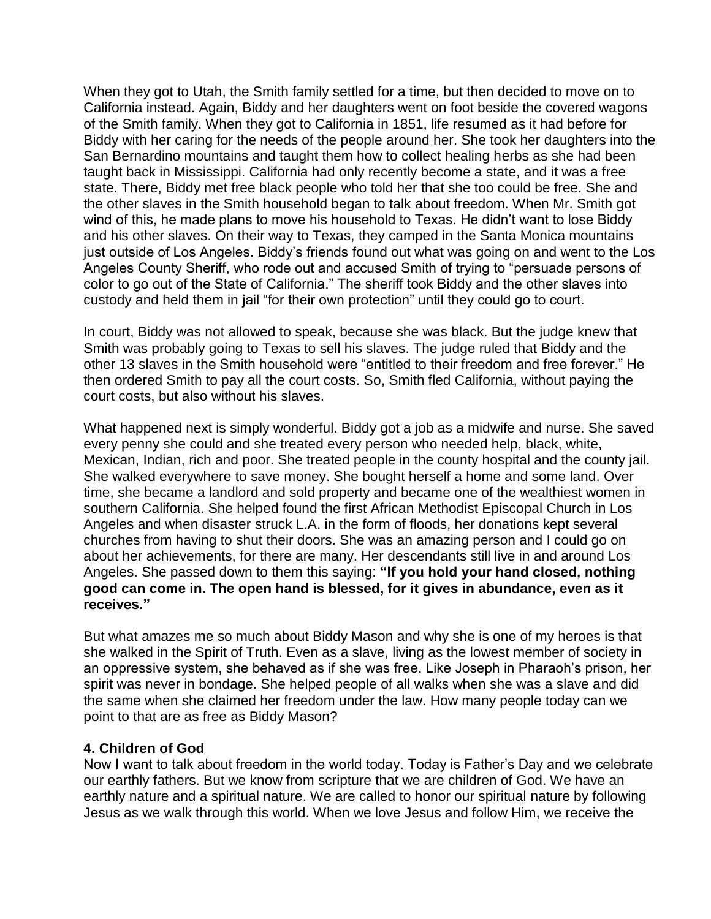When they got to Utah, the Smith family settled for a time, but then decided to move on to California instead. Again, Biddy and her daughters went on foot beside the covered wagons of the Smith family. When they got to California in 1851, life resumed as it had before for Biddy with her caring for the needs of the people around her. She took her daughters into the San Bernardino mountains and taught them how to collect healing herbs as she had been taught back in Mississippi. California had only recently become a state, and it was a free state. There, Biddy met free black people who told her that she too could be free. She and the other slaves in the Smith household began to talk about freedom. When Mr. Smith got wind of this, he made plans to move his household to Texas. He didn't want to lose Biddy and his other slaves. On their way to Texas, they camped in the Santa Monica mountains just outside of Los Angeles. Biddy's friends found out what was going on and went to the Los Angeles County Sheriff, who rode out and accused Smith of trying to "persuade persons of color to go out of the State of California." The sheriff took Biddy and the other slaves into custody and held them in jail "for their own protection" until they could go to court.

In court, Biddy was not allowed to speak, because she was black. But the judge knew that Smith was probably going to Texas to sell his slaves. The judge ruled that Biddy and the other 13 slaves in the Smith household were "entitled to their freedom and free forever." He then ordered Smith to pay all the court costs. So, Smith fled California, without paying the court costs, but also without his slaves.

What happened next is simply wonderful. Biddy got a job as a midwife and nurse. She saved every penny she could and she treated every person who needed help, black, white, Mexican, Indian, rich and poor. She treated people in the county hospital and the county jail. She walked everywhere to save money. She bought herself a home and some land. Over time, she became a landlord and sold property and became one of the wealthiest women in southern California. She helped found the first African Methodist Episcopal Church in Los Angeles and when disaster struck L.A. in the form of floods, her donations kept several churches from having to shut their doors. She was an amazing person and I could go on about her achievements, for there are many. Her descendants still live in and around Los Angeles. She passed down to them this saying: **"If you hold your hand closed, nothing good can come in. The open hand is blessed, for it gives in abundance, even as it receives."**

But what amazes me so much about Biddy Mason and why she is one of my heroes is that she walked in the Spirit of Truth. Even as a slave, living as the lowest member of society in an oppressive system, she behaved as if she was free. Like Joseph in Pharaoh's prison, her spirit was never in bondage. She helped people of all walks when she was a slave and did the same when she claimed her freedom under the law. How many people today can we point to that are as free as Biddy Mason?

### **4. Children of God**

Now I want to talk about freedom in the world today. Today is Father's Day and we celebrate our earthly fathers. But we know from scripture that we are children of God. We have an earthly nature and a spiritual nature. We are called to honor our spiritual nature by following Jesus as we walk through this world. When we love Jesus and follow Him, we receive the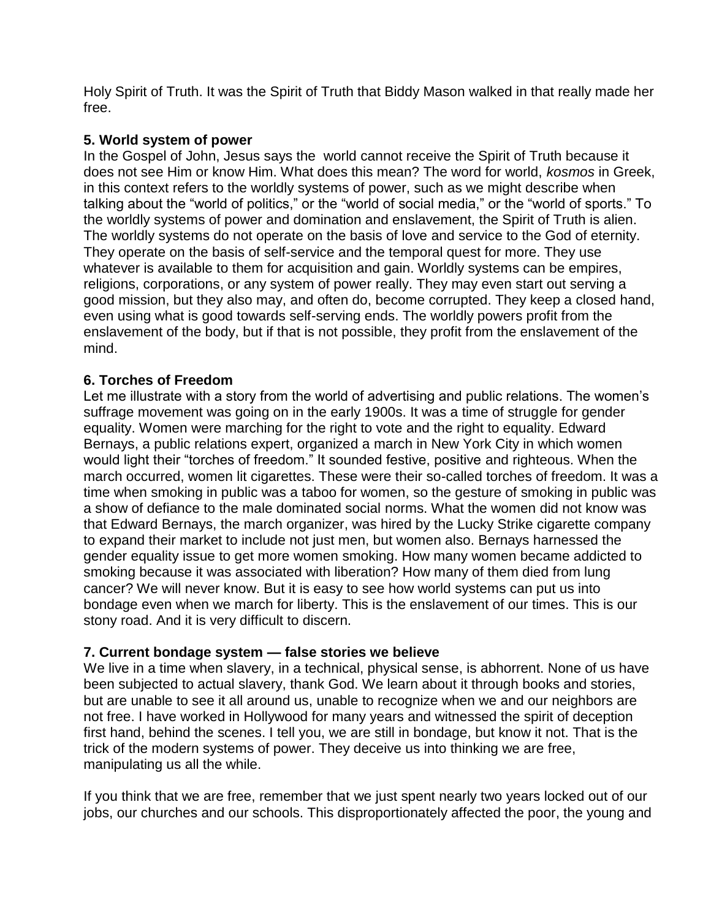Holy Spirit of Truth. It was the Spirit of Truth that Biddy Mason walked in that really made her free.

### **5. World system of power**

In the Gospel of John, Jesus says the world cannot receive the Spirit of Truth because it does not see Him or know Him. What does this mean? The word for world, *kosmos* in Greek, in this context refers to the worldly systems of power, such as we might describe when talking about the "world of politics," or the "world of social media," or the "world of sports." To the worldly systems of power and domination and enslavement, the Spirit of Truth is alien. The worldly systems do not operate on the basis of love and service to the God of eternity. They operate on the basis of self-service and the temporal quest for more. They use whatever is available to them for acquisition and gain. Worldly systems can be empires, religions, corporations, or any system of power really. They may even start out serving a good mission, but they also may, and often do, become corrupted. They keep a closed hand, even using what is good towards self-serving ends. The worldly powers profit from the enslavement of the body, but if that is not possible, they profit from the enslavement of the mind.

## **6. Torches of Freedom**

Let me illustrate with a story from the world of advertising and public relations. The women's suffrage movement was going on in the early 1900s. It was a time of struggle for gender equality. Women were marching for the right to vote and the right to equality. Edward Bernays, a public relations expert, organized a march in New York City in which women would light their "torches of freedom." It sounded festive, positive and righteous. When the march occurred, women lit cigarettes. These were their so-called torches of freedom. It was a time when smoking in public was a taboo for women, so the gesture of smoking in public was a show of defiance to the male dominated social norms. What the women did not know was that Edward Bernays, the march organizer, was hired by the Lucky Strike cigarette company to expand their market to include not just men, but women also. Bernays harnessed the gender equality issue to get more women smoking. How many women became addicted to smoking because it was associated with liberation? How many of them died from lung cancer? We will never know. But it is easy to see how world systems can put us into bondage even when we march for liberty. This is the enslavement of our times. This is our stony road. And it is very difficult to discern.

### **7. Current bondage system — false stories we believe**

We live in a time when slavery, in a technical, physical sense, is abhorrent. None of us have been subjected to actual slavery, thank God. We learn about it through books and stories, but are unable to see it all around us, unable to recognize when we and our neighbors are not free. I have worked in Hollywood for many years and witnessed the spirit of deception first hand, behind the scenes. I tell you, we are still in bondage, but know it not. That is the trick of the modern systems of power. They deceive us into thinking we are free, manipulating us all the while.

If you think that we are free, remember that we just spent nearly two years locked out of our jobs, our churches and our schools. This disproportionately affected the poor, the young and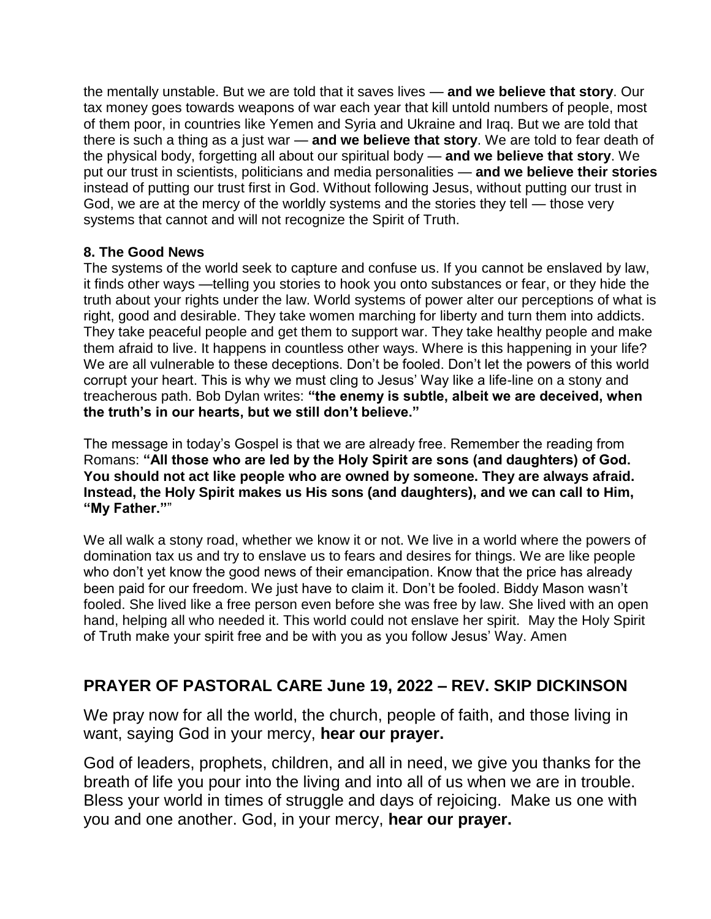the mentally unstable. But we are told that it saves lives — **and we believe that story**. Our tax money goes towards weapons of war each year that kill untold numbers of people, most of them poor, in countries like Yemen and Syria and Ukraine and Iraq. But we are told that there is such a thing as a just war — **and we believe that story**. We are told to fear death of the physical body, forgetting all about our spiritual body — **and we believe that story**. We put our trust in scientists, politicians and media personalities — **and we believe their stories**  instead of putting our trust first in God. Without following Jesus, without putting our trust in God, we are at the mercy of the worldly systems and the stories they tell — those very systems that cannot and will not recognize the Spirit of Truth.

## **8. The Good News**

The systems of the world seek to capture and confuse us. If you cannot be enslaved by law, it finds other ways —telling you stories to hook you onto substances or fear, or they hide the truth about your rights under the law. World systems of power alter our perceptions of what is right, good and desirable. They take women marching for liberty and turn them into addicts. They take peaceful people and get them to support war. They take healthy people and make them afraid to live. It happens in countless other ways. Where is this happening in your life? We are all vulnerable to these deceptions. Don't be fooled. Don't let the powers of this world corrupt your heart. This is why we must cling to Jesus' Way like a life-line on a stony and treacherous path. Bob Dylan writes: **"the enemy is subtle, albeit we are deceived, when the truth's in our hearts, but we still don't believe."**

The message in today's Gospel is that we are already free. Remember the reading from Romans: **"All those who are led by the Holy Spirit are sons (and daughters) of God. You should not act like people who are owned by someone. They are always afraid. Instead, the Holy Spirit makes us His sons (and daughters), and we can call to Him, "My Father."**"

We all walk a stony road, whether we know it or not. We live in a world where the powers of domination tax us and try to enslave us to fears and desires for things. We are like people who don't yet know the good news of their emancipation. Know that the price has already been paid for our freedom. We just have to claim it. Don't be fooled. Biddy Mason wasn't fooled. She lived like a free person even before she was free by law. She lived with an open hand, helping all who needed it. This world could not enslave her spirit. May the Holy Spirit of Truth make your spirit free and be with you as you follow Jesus' Way. Amen

# **PRAYER OF PASTORAL CARE June 19, 2022 – REV. SKIP DICKINSON**

We pray now for all the world, the church, people of faith, and those living in want, saying God in your mercy, **hear our prayer.**

God of leaders, prophets, children, and all in need, we give you thanks for the breath of life you pour into the living and into all of us when we are in trouble. Bless your world in times of struggle and days of rejoicing. Make us one with you and one another. God, in your mercy, **hear our prayer.**